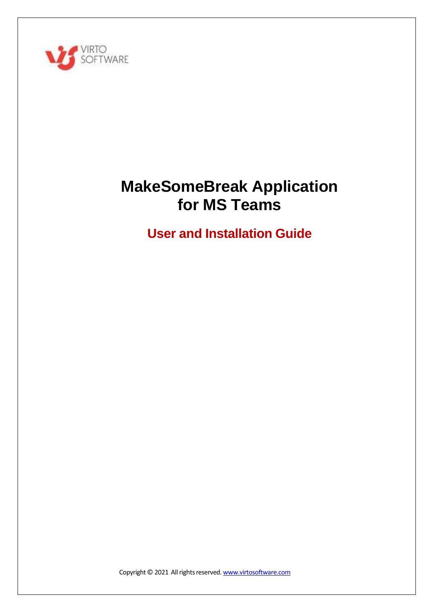

# **MakeSomeBreak Application for MS Teams**

**User and Installation Guide**

Copyright © 2021 All rights reserved. [www.virtosoftware.com](http://www.virtosoftware.com/)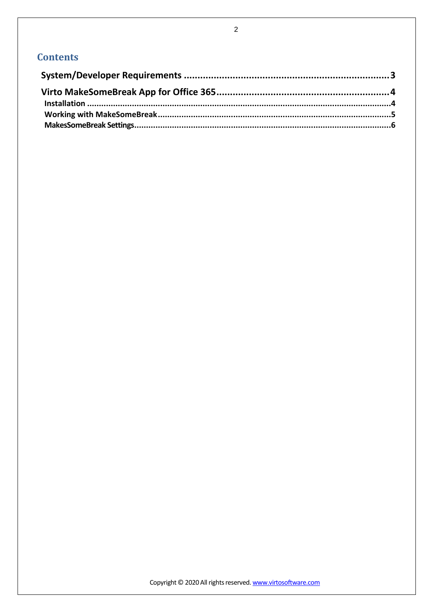# **Contents**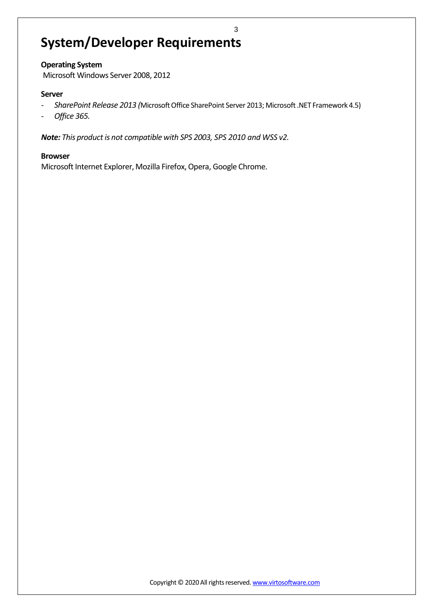# <span id="page-2-0"></span>**System/Developer Requirements**

# **Operating System**

Microsoft Windows Server 2008, 2012

## **Server**

*- SharePoint Release 2013 (*MicrosoftOffice SharePoint Server 2013; Microsoft.NET Framework 4.5)

3

*- Office 365.*

*Note: This product is not compatible with SPS 2003, SPS 2010 and WSS v2.*

## **Browser**

Microsoft Internet Explorer, Mozilla Firefox, Opera, Google Chrome.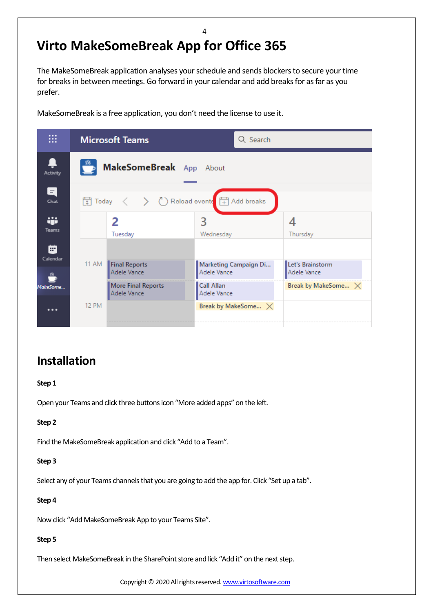# <span id="page-3-0"></span>**Virto MakeSomeBreak App for Office 365**

The MakeSomeBreak application analyses your schedule and sends blockers to secure your time for breaks in between meetings. Go forward in your calendar and add breaks for as far as you prefer.

4

MakeSomeBreak is a free application, you don't need the license to use it.

| <br>∷             |              | <b>Microsoft Teams</b>                                  | Q Search                                 |                                           |
|-------------------|--------------|---------------------------------------------------------|------------------------------------------|-------------------------------------------|
| Activity          |              | MakeSomeBreak App About                                 |                                          |                                           |
| a<br>Chat         |              |                                                         |                                          |                                           |
| ÷<br><b>Teams</b> |              | 2<br>Tuesday                                            | 3<br>Wednesday                           | 4<br>Thursday                             |
| æ<br>Calendar     | 11 AM        | Final Reports                                           | Marketing Campaign Di                    | Let's Brainstorm                          |
| MakeSome          |              | Adele Vance<br><b>More Final Reports</b><br>Adele Vance | Adele Vance<br>Call Allan<br>Adele Vance | Adele Vance<br>Break by MakeSome $\times$ |
| $\cdots$          | <b>12 PM</b> |                                                         | Break by MakeSome X                      |                                           |

# <span id="page-3-1"></span>**Installation**

**Step 1**

Open your Teams and click three buttons icon "More added apps" on the left.

# **Step 2**

Find the MakeSomeBreak application and click "Add to a Team".

## **Step 3**

Select any of your Teams channels that you are going to add the app for. Click "Set up a tab".

## **Step 4**

Now click "Add MakeSomeBreak App to your Teams Site".

# **Step 5**

Then select MakeSomeBreak in the SharePoint store and lick "Add it" on the next step.

Copyright © 2020 All rights reserved. [www.virtosoftware.com](http://www.virtosoftware.com/)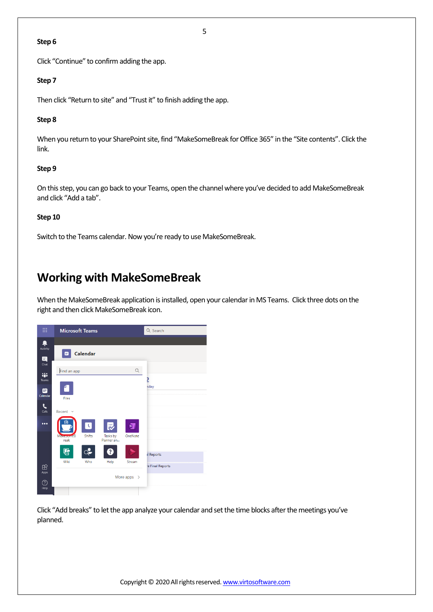#### **Step 6**

Click "Continue" to confirm adding the app.

#### **Step 7**

Then click "Return to site" and "Trust it" to finish adding the app.

## **Step 8**

When you return to your SharePoint site, find "MakeSomeBreak for Office 365" in the "Site contents". Click the link.

## **Step 9**

On this step, you can go back to your Teams, open the channel where you've decided to add MakeSomeBreak and click "Add a tab".

#### **Step 10**

Switch to the Teams calendar. Now you're ready to use MakeSomeBreak.

# <span id="page-4-0"></span>**Working with MakeSomeBreak**

When the MakeSomeBreak application is installed, open your calendar in MS Teams. Click three dots on the right and then click MakeSomeBreak icon.



Click "Add breaks" to let the app analyze your calendar and set the time blocks after the meetings you've planned.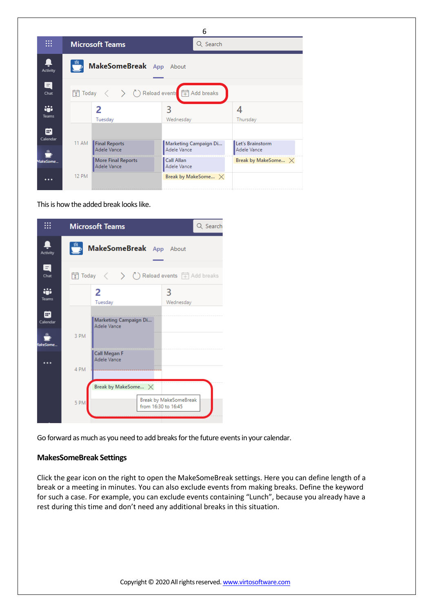|                   |              |                                          | 6                                    |                                 |
|-------------------|--------------|------------------------------------------|--------------------------------------|---------------------------------|
| ₩                 |              | <b>Microsoft Teams</b>                   | Q Search                             |                                 |
| Activity          |              | MakeSomeBreak App About                  |                                      |                                 |
| E<br>Chat         |              | $\frac{1}{2}$ Today $\langle$            | ◯ Reload events Fil Add breaks       |                                 |
| ÷<br><b>Teams</b> |              | 2<br>Tuesday                             | 3<br>Wednesday                       | 4<br>Thursday                   |
| m<br>Calendar     |              |                                          |                                      |                                 |
|                   | 11 AM        | Final Reports<br>Adele Vance             | Marketing Campaign Di<br>Adele Vance | Let's Brainstorm<br>Adele Vance |
| MakeSome          |              | <b>More Final Reports</b><br>Adele Vance | Call Allan<br>Adele Vance            | Break by MakeSome $\times$      |
| $\cdots$          | <b>12 PM</b> |                                          | Break by MakeSome $\times$           |                                 |

This is how the added break looks like.

|               | <b>Microsoft Teams</b><br>Q Search                                                  |
|---------------|-------------------------------------------------------------------------------------|
| Activity      | MakeSomeBreak App About                                                             |
| EI<br>Chat    | ■ Today 〈 〉 ( ) Reload events <b>中 Add breaks</b>                                   |
| ÷<br>Teams    | 2<br>3<br>Tuesday<br>Wednesday                                                      |
| m<br>Calendar | Marketing Campaign Di<br>Adele Vance                                                |
| lakeSome      | 3 PM                                                                                |
|               | Call Megan F<br>Adele Vance<br>4 PM                                                 |
|               | Break by MakeSome $\times$<br>Break by MakeSomeBreak<br>5 PM<br>from 16:30 to 16:45 |
|               |                                                                                     |

Go forward as much as you need to add breaks for the future events in your calendar.

# <span id="page-5-0"></span>**MakesSomeBreak Settings**

Click the gear icon on the right to open the MakeSomeBreak settings. Here you can define length of a break or a meeting in minutes. You can also exclude events from making breaks. Define the keyword for such a case. For example, you can exclude events containing "Lunch", because you already have a rest during this time and don't need any additional breaks in this situation.